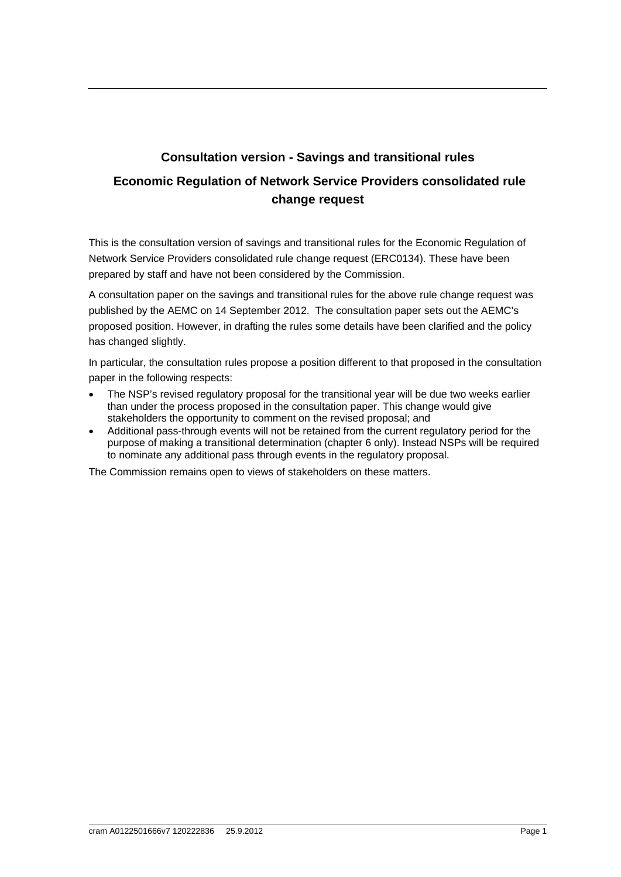# **Consultation version - Savings and transitional rules Economic Regulation of Network Service Providers consolidated rule change request**

This is the consultation version of savings and transitional rules for the Economic Regulation of Network Service Providers consolidated rule change request (ERC0134). These have been prepared by staff and have not been considered by the Commission.

A consultation paper on the savings and transitional rules for the above rule change request was published by the AEMC on 14 September 2012. The consultation paper sets out the AEMC's proposed position. However, in drafting the rules some details have been clarified and the policy has changed slightly.

In particular, the consultation rules propose a position different to that proposed in the consultation paper in the following respects:

- The NSP's revised regulatory proposal for the transitional year will be due two weeks earlier than under the process proposed in the consultation paper. This change would give stakeholders the opportunity to comment on the revised proposal; and
- Additional pass-through events will not be retained from the current regulatory period for the purpose of making a transitional determination (chapter 6 only). Instead NSPs will be required to nominate any additional pass through events in the regulatory proposal.

The Commission remains open to views of stakeholders on these matters.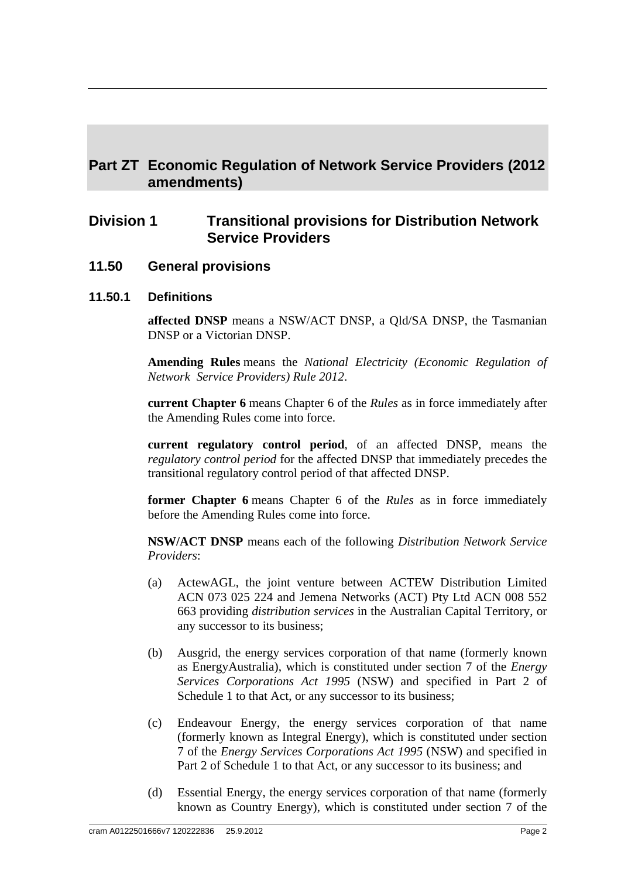## **Part ZT Economic Regulation of Network Service Providers (2012 amendments)**

## **Division 1 Transitional provisions for Distribution Network Service Providers**

**11.50 General provisions**

#### **11.50.1 Definitions**

**affected DNSP** means a NSW/ACT DNSP, a Qld/SA DNSP, the Tasmanian DNSP or a Victorian DNSP.

**Amending Rules** means the *National Electricity (Economic Regulation of Network Service Providers) Rule 2012*.

**current Chapter 6** means Chapter 6 of the *Rules* as in force immediately after the Amending Rules come into force.

**current regulatory control period**, of an affected DNSP, means the *regulatory control period* for the affected DNSP that immediately precedes the transitional regulatory control period of that affected DNSP.

**former Chapter 6** means Chapter 6 of the *Rules* as in force immediately before the Amending Rules come into force.

**NSW/ACT DNSP** means each of the following *Distribution Network Service Providers*:

- (a) ActewAGL, the joint venture between ACTEW Distribution Limited ACN 073 025 224 and Jemena Networks (ACT) Pty Ltd ACN 008 552 663 providing *distribution services* in the Australian Capital Territory, or any successor to its business;
- (b) Ausgrid, the energy services corporation of that name (formerly known as EnergyAustralia), which is constituted under section 7 of the *Energy Services Corporations Act 1995* (NSW) and specified in Part 2 of Schedule 1 to that Act, or any successor to its business;
- (c) Endeavour Energy, the energy services corporation of that name (formerly known as Integral Energy), which is constituted under section 7 of the *Energy Services Corporations Act 1995* (NSW) and specified in Part 2 of Schedule 1 to that Act, or any successor to its business; and
- (d) Essential Energy, the energy services corporation of that name (formerly known as Country Energy), which is constituted under section 7 of the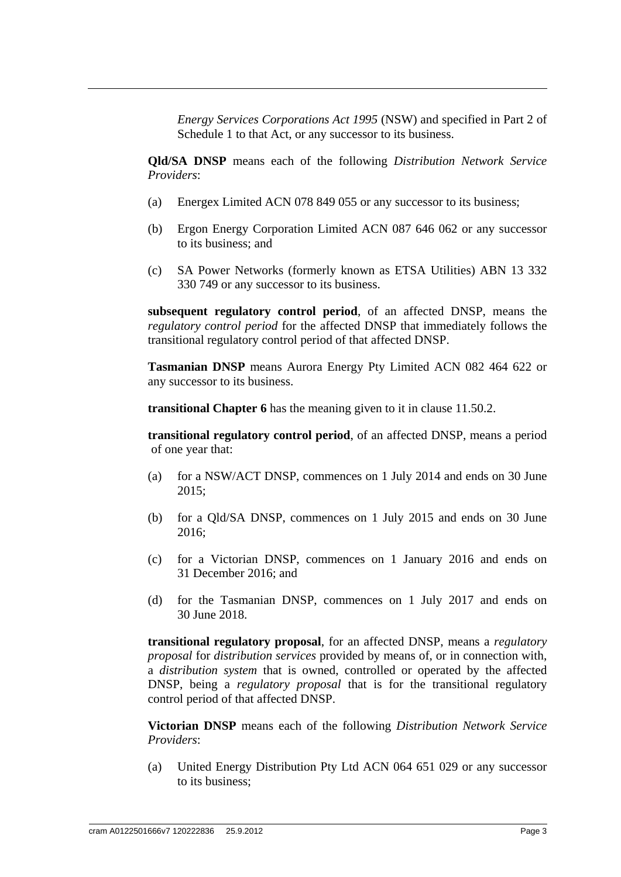*Energy Services Corporations Act 1995* (NSW) and specified in Part 2 of Schedule 1 to that Act, or any successor to its business.

**Qld/SA DNSP** means each of the following *Distribution Network Service Providers*:

- (a) Energex Limited ACN 078 849 055 or any successor to its business;
- (b) Ergon Energy Corporation Limited ACN 087 646 062 or any successor to its business; and
- (c) SA Power Networks (formerly known as ETSA Utilities) ABN 13 332 330 749 or any successor to its business.

**subsequent regulatory control period**, of an affected DNSP, means the *regulatory control period* for the affected DNSP that immediately follows the transitional regulatory control period of that affected DNSP.

**Tasmanian DNSP** means Aurora Energy Pty Limited ACN 082 464 622 or any successor to its business.

**transitional Chapter 6** has the meaning given to it in clause 11.50.2.

**transitional regulatory control period**, of an affected DNSP, means a period of one year that:

- (a) for a NSW/ACT DNSP, commences on 1 July 2014 and ends on 30 June 2015;
- (b) for a Qld/SA DNSP, commences on 1 July 2015 and ends on 30 June 2016;
- (c) for a Victorian DNSP, commences on 1 January 2016 and ends on 31 December 2016; and
- (d) for the Tasmanian DNSP, commences on 1 July 2017 and ends on 30 June 2018.

**transitional regulatory proposal**, for an affected DNSP, means a *regulatory proposal* for *distribution services* provided by means of, or in connection with, a *distribution system* that is owned, controlled or operated by the affected DNSP, being a *regulatory proposal* that is for the transitional regulatory control period of that affected DNSP.

**Victorian DNSP** means each of the following *Distribution Network Service Providers*:

(a) United Energy Distribution Pty Ltd ACN 064 651 029 or any successor to its business;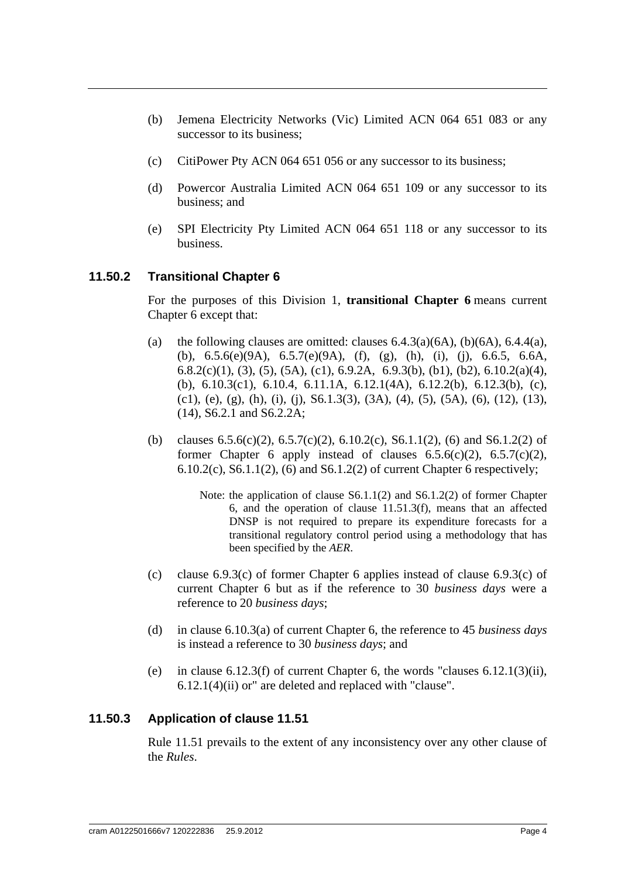- (b) Jemena Electricity Networks (Vic) Limited ACN 064 651 083 or any successor to its business;
- (c) CitiPower Pty ACN 064 651 056 or any successor to its business;
- (d) Powercor Australia Limited ACN 064 651 109 or any successor to its business; and
- (e) SPI Electricity Pty Limited ACN 064 651 118 or any successor to its business.

#### **11.50.2 Transitional Chapter 6**

For the purposes of this Division 1, **transitional Chapter 6** means current Chapter 6 except that:

- (a) the following clauses are omitted: clauses  $6.4.3(a)(6A)$ ,  $(b)(6A)$ ,  $6.4.4(a)$ , (b), 6.5.6(e)(9A), 6.5.7(e)(9A), (f), (g), (h), (i), (j), 6.6.5, 6.6A, 6.8.2(c)(1), (3), (5), (5A), (c1), 6.9.2A, 6.9.3(b), (b1), (b2), 6.10.2(a)(4), (b), 6.10.3(c1), 6.10.4, 6.11.1A, 6.12.1(4A), 6.12.2(b), 6.12.3(b), (c), (c1), (e), (g), (h), (i), (j), S6.1.3(3), (3A), (4), (5), (5A), (6), (12), (13), (14), S6.2.1 and S6.2.2A;
- (b) clauses  $6.5.6(c)(2)$ ,  $6.5.7(c)(2)$ ,  $6.10.2(c)$ ,  $S6.1.1(2)$ ,  $(6)$  and  $S6.1.2(2)$  of former Chapter 6 apply instead of clauses  $6.5.6(c)(2)$ ,  $6.5.7(c)(2)$ ,  $6.10.2(c)$ ,  $S6.1.1(2)$ ,  $(6)$  and  $S6.1.2(2)$  of current Chapter 6 respectively;
	- Note: the application of clause S6.1.1(2) and S6.1.2(2) of former Chapter 6, and the operation of clause 11.51.3(f), means that an affected DNSP is not required to prepare its expenditure forecasts for a transitional regulatory control period using a methodology that has been specified by the *AER*.
- (c) clause 6.9.3(c) of former Chapter 6 applies instead of clause 6.9.3(c) of current Chapter 6 but as if the reference to 30 *business days* were a reference to 20 *business days*;
- (d) in clause 6.10.3(a) of current Chapter 6, the reference to 45 *business days* is instead a reference to 30 *business days*; and
- (e) in clause  $6.12.3(f)$  of current Chapter 6, the words "clauses  $6.12.1(3)(ii)$ , 6.12.1(4)(ii) or" are deleted and replaced with "clause".

#### **11.50.3 Application of clause 11.51**

Rule 11.51 prevails to the extent of any inconsistency over any other clause of the *Rules*.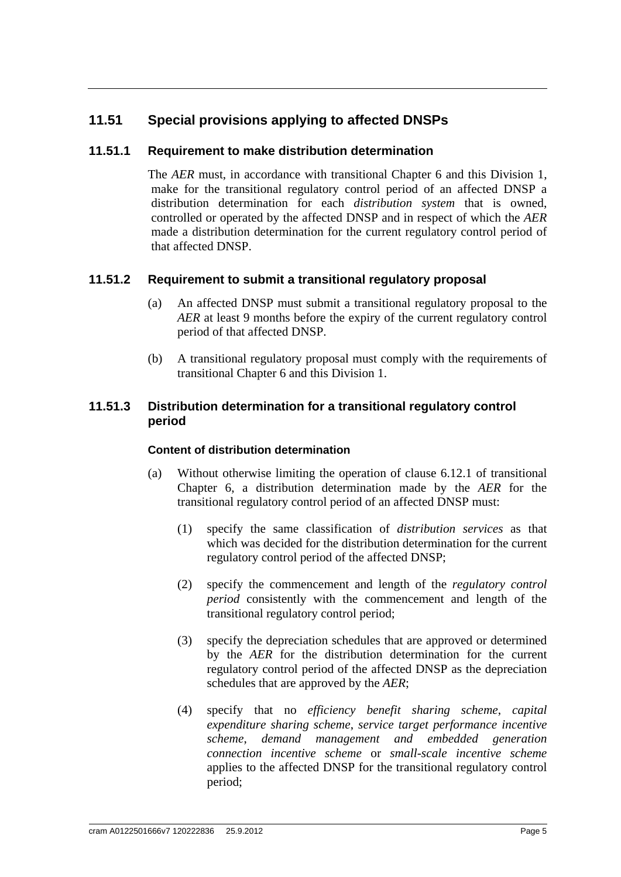## **11.51 Special provisions applying to affected DNSPs**

#### **11.51.1 Requirement to make distribution determination**

The *AER* must, in accordance with transitional Chapter 6 and this Division 1, make for the transitional regulatory control period of an affected DNSP a distribution determination for each *distribution system* that is owned, controlled or operated by the affected DNSP and in respect of which the *AER* made a distribution determination for the current regulatory control period of that affected DNSP.

#### **11.51.2 Requirement to submit a transitional regulatory proposal**

- (a) An affected DNSP must submit a transitional regulatory proposal to the *AER* at least 9 months before the expiry of the current regulatory control period of that affected DNSP.
- (b) A transitional regulatory proposal must comply with the requirements of transitional Chapter 6 and this Division 1.

#### **11.51.3 Distribution determination for a transitional regulatory control period**

#### **Content of distribution determination**

- (a) Without otherwise limiting the operation of clause 6.12.1 of transitional Chapter 6, a distribution determination made by the *AER* for the transitional regulatory control period of an affected DNSP must:
	- (1) specify the same classification of *distribution services* as that which was decided for the distribution determination for the current regulatory control period of the affected DNSP;
	- (2) specify the commencement and length of the *regulatory control period* consistently with the commencement and length of the transitional regulatory control period;
	- (3) specify the depreciation schedules that are approved or determined by the *AER* for the distribution determination for the current regulatory control period of the affected DNSP as the depreciation schedules that are approved by the *AER*;
	- (4) specify that no *efficiency benefit sharing scheme*, *capital expenditure sharing scheme*, *service target performance incentive scheme*, *demand management and embedded generation connection incentive scheme* or *small-scale incentive scheme* applies to the affected DNSP for the transitional regulatory control period;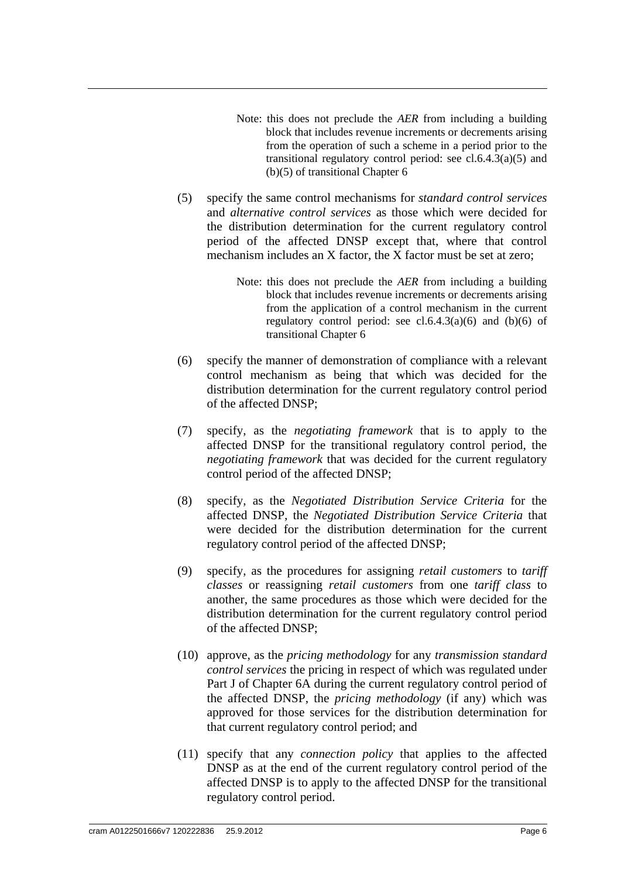- Note: this does not preclude the *AER* from including a building block that includes revenue increments or decrements arising from the operation of such a scheme in a period prior to the transitional regulatory control period: see  $cl.6.4.3(a)(5)$  and (b)(5) of transitional Chapter 6
- (5) specify the same control mechanisms for *standard control services*  and *alternative control services* as those which were decided for the distribution determination for the current regulatory control period of the affected DNSP except that, where that control mechanism includes an X factor, the X factor must be set at zero;
	- Note: this does not preclude the *AER* from including a building block that includes revenue increments or decrements arising from the application of a control mechanism in the current regulatory control period: see  $cl.6.4.3(a)(6)$  and  $(b)(6)$  of transitional Chapter 6
- (6) specify the manner of demonstration of compliance with a relevant control mechanism as being that which was decided for the distribution determination for the current regulatory control period of the affected DNSP;
- (7) specify, as the *negotiating framework* that is to apply to the affected DNSP for the transitional regulatory control period, the *negotiating framework* that was decided for the current regulatory control period of the affected DNSP;
- (8) specify, as the *Negotiated Distribution Service Criteria* for the affected DNSP, the *Negotiated Distribution Service Criteria* that were decided for the distribution determination for the current regulatory control period of the affected DNSP;
- (9) specify, as the procedures for assigning *retail customers* to *tariff classes* or reassigning *retail customers* from one *tariff class* to another, the same procedures as those which were decided for the distribution determination for the current regulatory control period of the affected DNSP;
- (10) approve, as the *pricing methodology* for any *transmission standard control services* the pricing in respect of which was regulated under Part J of Chapter 6A during the current regulatory control period of the affected DNSP, the *pricing methodology* (if any) which was approved for those services for the distribution determination for that current regulatory control period; and
- (11) specify that any *connection policy* that applies to the affected DNSP as at the end of the current regulatory control period of the affected DNSP is to apply to the affected DNSP for the transitional regulatory control period.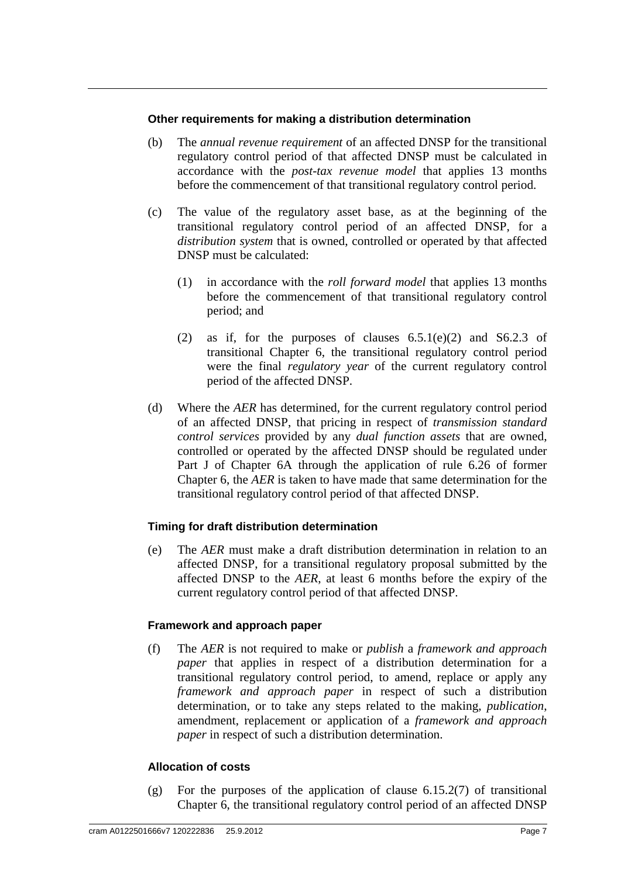#### **Other requirements for making a distribution determination**

- (b) The *annual revenue requirement* of an affected DNSP for the transitional regulatory control period of that affected DNSP must be calculated in accordance with the *post-tax revenue model* that applies 13 months before the commencement of that transitional regulatory control period.
- (c) The value of the regulatory asset base, as at the beginning of the transitional regulatory control period of an affected DNSP, for a *distribution system* that is owned, controlled or operated by that affected DNSP must be calculated:
	- (1) in accordance with the *roll forward model* that applies 13 months before the commencement of that transitional regulatory control period; and
	- (2) as if, for the purposes of clauses  $6.5.1(e)(2)$  and  $S6.2.3$  of transitional Chapter 6, the transitional regulatory control period were the final *regulatory year* of the current regulatory control period of the affected DNSP.
- (d) Where the *AER* has determined, for the current regulatory control period of an affected DNSP, that pricing in respect of *transmission standard control services* provided by any *dual function assets* that are owned, controlled or operated by the affected DNSP should be regulated under Part J of Chapter 6A through the application of rule 6.26 of former Chapter 6, the *AER* is taken to have made that same determination for the transitional regulatory control period of that affected DNSP.

#### **Timing for draft distribution determination**

(e) The *AER* must make a draft distribution determination in relation to an affected DNSP, for a transitional regulatory proposal submitted by the affected DNSP to the *AER*, at least 6 months before the expiry of the current regulatory control period of that affected DNSP.

#### **Framework and approach paper**

(f) The *AER* is not required to make or *publish* a *framework and approach paper* that applies in respect of a distribution determination for a transitional regulatory control period, to amend, replace or apply any *framework and approach paper* in respect of such a distribution determination, or to take any steps related to the making, *publication*, amendment, replacement or application of a *framework and approach paper* in respect of such a distribution determination.

#### **Allocation of costs**

(g) For the purposes of the application of clause  $6.15.2(7)$  of transitional Chapter 6, the transitional regulatory control period of an affected DNSP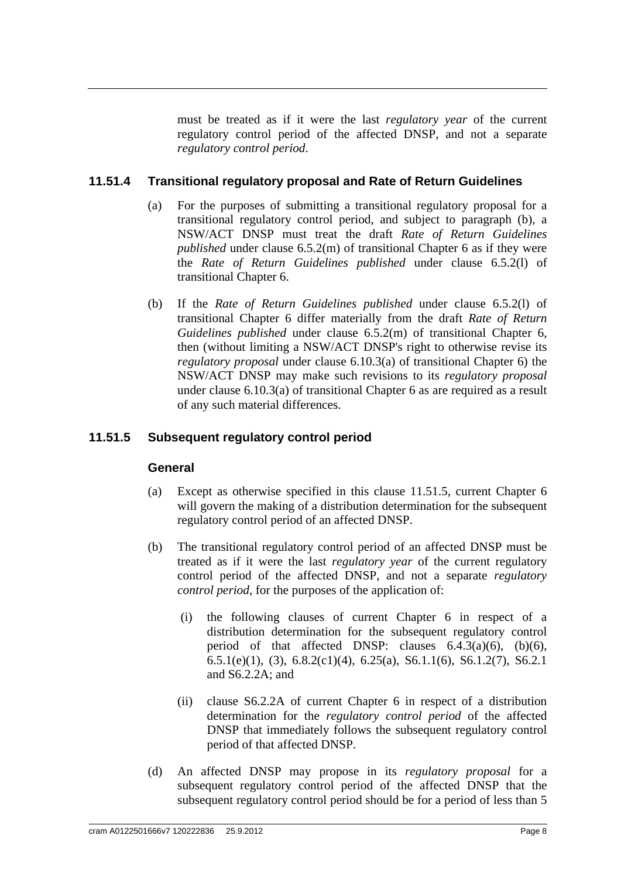must be treated as if it were the last *regulatory year* of the current regulatory control period of the affected DNSP, and not a separate *regulatory control period*.

#### **11.51.4 Transitional regulatory proposal and Rate of Return Guidelines**

- (a) For the purposes of submitting a transitional regulatory proposal for a transitional regulatory control period, and subject to paragraph (b), a NSW/ACT DNSP must treat the draft *Rate of Return Guidelines published* under clause 6.5.2(m) of transitional Chapter 6 as if they were the *Rate of Return Guidelines published* under clause 6.5.2(l) of transitional Chapter 6.
- (b) If the *Rate of Return Guidelines published* under clause 6.5.2(l) of transitional Chapter 6 differ materially from the draft *Rate of Return Guidelines published* under clause 6.5.2(m) of transitional Chapter 6, then (without limiting a NSW/ACT DNSP's right to otherwise revise its *regulatory proposal* under clause 6.10.3(a) of transitional Chapter 6) the NSW/ACT DNSP may make such revisions to its *regulatory proposal* under clause 6.10.3(a) of transitional Chapter 6 as are required as a result of any such material differences.

#### **11.51.5 Subsequent regulatory control period**

#### **General**

- (a) Except as otherwise specified in this clause 11.51.5, current Chapter 6 will govern the making of a distribution determination for the subsequent regulatory control period of an affected DNSP.
- (b) The transitional regulatory control period of an affected DNSP must be treated as if it were the last *regulatory year* of the current regulatory control period of the affected DNSP, and not a separate *regulatory control period*, for the purposes of the application of:
	- (i) the following clauses of current Chapter 6 in respect of a distribution determination for the subsequent regulatory control period of that affected DNSP: clauses  $6.4.3(a)(6)$ ,  $(b)(6)$ , 6.5.1(e)(1), (3), 6.8.2(c1)(4), 6.25(a), S6.1.1(6), S6.1.2(7), S6.2.1 and S6.2.2A; and
	- (ii) clause S6.2.2A of current Chapter 6 in respect of a distribution determination for the *regulatory control period* of the affected DNSP that immediately follows the subsequent regulatory control period of that affected DNSP.
- (d) An affected DNSP may propose in its *regulatory proposal* for a subsequent regulatory control period of the affected DNSP that the subsequent regulatory control period should be for a period of less than 5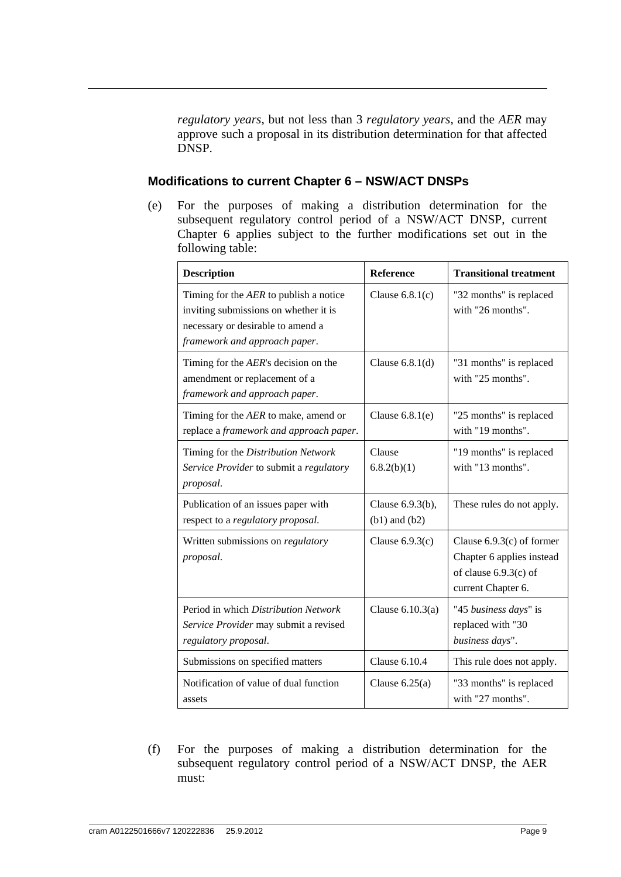*regulatory years*, but not less than 3 *regulatory years*, and the *AER* may approve such a proposal in its distribution determination for that affected DNSP.

#### **Modifications to current Chapter 6 – NSW/ACT DNSPs**

(e) For the purposes of making a distribution determination for the subsequent regulatory control period of a NSW/ACT DNSP, current Chapter 6 applies subject to the further modifications set out in the following table:

| <b>Description</b>                                                                                                                                    | <b>Reference</b>                      | <b>Transitional treatment</b>                                                                             |
|-------------------------------------------------------------------------------------------------------------------------------------------------------|---------------------------------------|-----------------------------------------------------------------------------------------------------------|
| Timing for the AER to publish a notice<br>inviting submissions on whether it is<br>necessary or desirable to amend a<br>framework and approach paper. | Clause $6.8.1(c)$                     | "32 months" is replaced<br>with "26 months".                                                              |
| Timing for the AER's decision on the<br>amendment or replacement of a<br>framework and approach paper.                                                | Clause $6.8.1(d)$                     | "31 months" is replaced<br>with "25 months".                                                              |
| Timing for the AER to make, amend or<br>replace a framework and approach paper.                                                                       | Clause $6.8.1(e)$                     | "25 months" is replaced<br>with "19 months".                                                              |
| Timing for the Distribution Network<br>Service Provider to submit a regulatory<br>proposal.                                                           | Clause<br>6.8.2(b)(1)                 | "19 months" is replaced<br>with "13 months".                                                              |
| Publication of an issues paper with<br>respect to a regulatory proposal.                                                                              | Clause 6.9.3(b),<br>$(b1)$ and $(b2)$ | These rules do not apply.                                                                                 |
| Written submissions on regulatory<br>proposal.                                                                                                        | Clause $6.9.3(c)$                     | Clause $6.9.3(c)$ of former<br>Chapter 6 applies instead<br>of clause $6.9.3(c)$ of<br>current Chapter 6. |
| Period in which Distribution Network<br>Service Provider may submit a revised<br>regulatory proposal.                                                 | Clause $6.10.3(a)$                    | "45 business days" is<br>replaced with "30<br>business days".                                             |
| Submissions on specified matters                                                                                                                      | Clause $6.10.4$                       | This rule does not apply.                                                                                 |
| Notification of value of dual function<br>assets                                                                                                      | Clause $6.25(a)$                      | "33 months" is replaced<br>with "27 months".                                                              |

(f) For the purposes of making a distribution determination for the subsequent regulatory control period of a NSW/ACT DNSP, the AER must: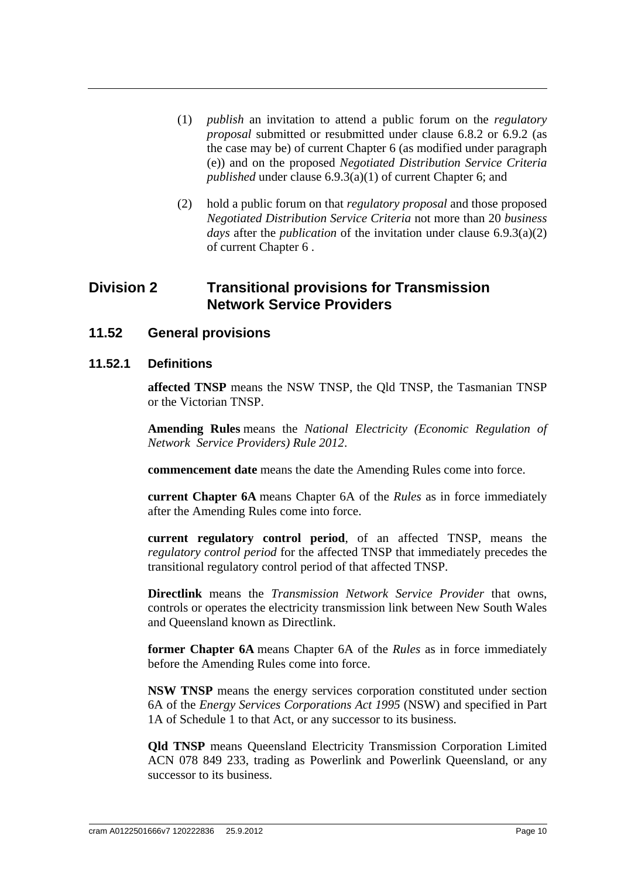- (1) *publish* an invitation to attend a public forum on the *regulatory proposal* submitted or resubmitted under clause 6.8.2 or 6.9.2 (as the case may be) of current Chapter 6 (as modified under paragraph (e)) and on the proposed *Negotiated Distribution Service Criteria published* under clause 6.9.3(a)(1) of current Chapter 6; and
- (2) hold a public forum on that *regulatory proposal* and those proposed *Negotiated Distribution Service Criteria* not more than 20 *business days* after the *publication* of the invitation under clause 6.9.3(a)(2) of current Chapter 6 .

## **Division 2 Transitional provisions for Transmission Network Service Providers**

**11.52 General provisions**

#### **11.52.1 Definitions**

**affected TNSP** means the NSW TNSP, the Qld TNSP, the Tasmanian TNSP or the Victorian TNSP.

**Amending Rules** means the *National Electricity (Economic Regulation of Network Service Providers) Rule 2012*.

**commencement date** means the date the Amending Rules come into force.

**current Chapter 6A** means Chapter 6A of the *Rules* as in force immediately after the Amending Rules come into force.

**current regulatory control period**, of an affected TNSP, means the *regulatory control period* for the affected TNSP that immediately precedes the transitional regulatory control period of that affected TNSP.

**Directlink** means the *Transmission Network Service Provider* that owns, controls or operates the electricity transmission link between New South Wales and Queensland known as Directlink.

**former Chapter 6A** means Chapter 6A of the *Rules* as in force immediately before the Amending Rules come into force.

**NSW TNSP** means the energy services corporation constituted under section 6A of the *Energy Services Corporations Act 1995* (NSW) and specified in Part 1A of Schedule 1 to that Act, or any successor to its business.

**Qld TNSP** means Queensland Electricity Transmission Corporation Limited ACN 078 849 233, trading as Powerlink and Powerlink Queensland, or any successor to its business.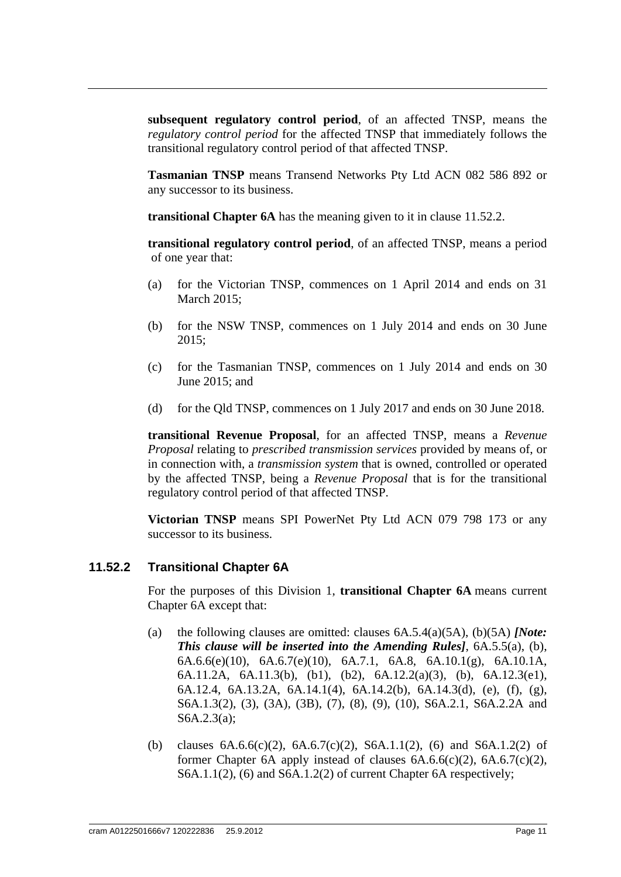**subsequent regulatory control period**, of an affected TNSP, means the *regulatory control period* for the affected TNSP that immediately follows the transitional regulatory control period of that affected TNSP.

**Tasmanian TNSP** means Transend Networks Pty Ltd ACN 082 586 892 or any successor to its business.

**transitional Chapter 6A** has the meaning given to it in clause 11.52.2.

**transitional regulatory control period**, of an affected TNSP, means a period of one year that:

- (a) for the Victorian TNSP, commences on 1 April 2014 and ends on 31 March 2015;
- (b) for the NSW TNSP, commences on 1 July 2014 and ends on 30 June 2015;
- (c) for the Tasmanian TNSP, commences on 1 July 2014 and ends on 30 June 2015; and
- (d) for the Qld TNSP, commences on 1 July 2017 and ends on 30 June 2018.

**transitional Revenue Proposal**, for an affected TNSP, means a *Revenue Proposal* relating to *prescribed transmission services* provided by means of, or in connection with, a *transmission system* that is owned, controlled or operated by the affected TNSP, being a *Revenue Proposal* that is for the transitional regulatory control period of that affected TNSP.

**Victorian TNSP** means SPI PowerNet Pty Ltd ACN 079 798 173 or any successor to its business.

#### **11.52.2 Transitional Chapter 6A**

For the purposes of this Division 1, **transitional Chapter 6A** means current Chapter 6A except that:

- (a) the following clauses are omitted: clauses 6A.5.4(a)(5A), (b)(5A) *[Note: This clause will be inserted into the Amending Rules]*, 6A.5.5(a), (b), 6A.6.6(e)(10), 6A.6.7(e)(10), 6A.7.1, 6A.8, 6A.10.1(g), 6A.10.1A, 6A.11.2A, 6A.11.3(b), (b1), (b2), 6A.12.2(a)(3), (b), 6A.12.3(e1), 6A.12.4, 6A.13.2A, 6A.14.1(4), 6A.14.2(b), 6A.14.3(d), (e), (f), (g), S6A.1.3(2), (3), (3A), (3B), (7), (8), (9), (10), S6A.2.1, S6A.2.2A and S6A.2.3(a);
- (b) clauses  $6A.6.6(c)(2)$ ,  $6A.6.7(c)(2)$ ,  $56A.1.1(2)$ ,  $(6)$  and  $56A.1.2(2)$  of former Chapter 6A apply instead of clauses  $6A.6.6(c)(2)$ ,  $6A.6.7(c)(2)$ , S6A.1.1(2), (6) and S6A.1.2(2) of current Chapter 6A respectively;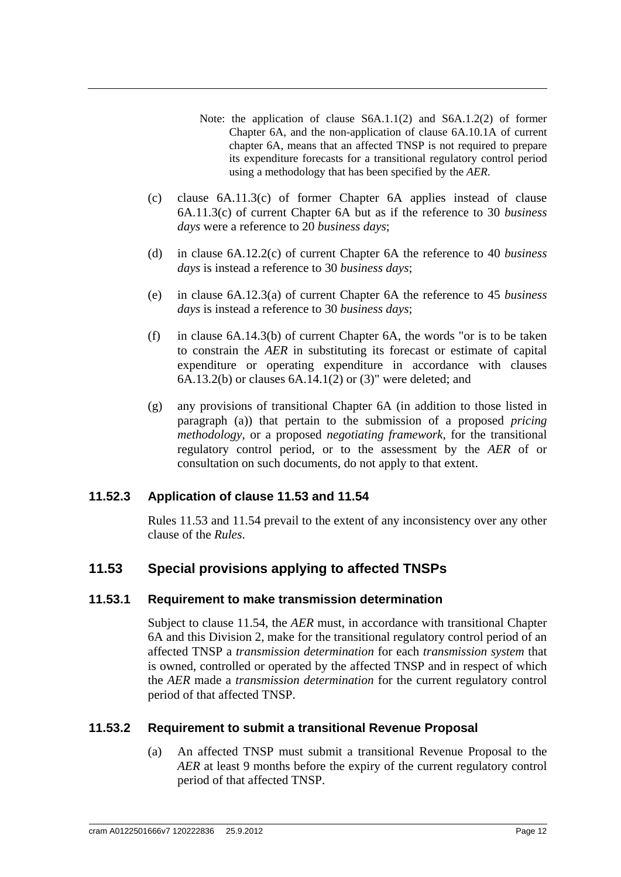- Note: the application of clause S6A.1.1(2) and S6A.1.2(2) of former Chapter 6A, and the non-application of clause 6A.10.1A of current chapter 6A, means that an affected TNSP is not required to prepare its expenditure forecasts for a transitional regulatory control period using a methodology that has been specified by the *AER*.
- (c) clause 6A.11.3(c) of former Chapter 6A applies instead of clause 6A.11.3(c) of current Chapter 6A but as if the reference to 30 *business days* were a reference to 20 *business days*;
- (d) in clause 6A.12.2(c) of current Chapter 6A the reference to 40 *business days* is instead a reference to 30 *business days*;
- (e) in clause 6A.12.3(a) of current Chapter 6A the reference to 45 *business days* is instead a reference to 30 *business days*;
- (f) in clause 6A.14.3(b) of current Chapter 6A, the words "or is to be taken to constrain the *AER* in substituting its forecast or estimate of capital expenditure or operating expenditure in accordance with clauses 6A.13.2(b) or clauses 6A.14.1(2) or (3)" were deleted; and
- (g) any provisions of transitional Chapter 6A (in addition to those listed in paragraph (a)) that pertain to the submission of a proposed *pricing methodology*, or a proposed *negotiating framework*, for the transitional regulatory control period, or to the assessment by the *AER* of or consultation on such documents, do not apply to that extent.

#### **11.52.3 Application of clause 11.53 and 11.54**

Rules 11.53 and 11.54 prevail to the extent of any inconsistency over any other clause of the *Rules*.

## **11.53 Special provisions applying to affected TNSPs**

#### **11.53.1 Requirement to make transmission determination**

Subject to clause 11.54, the *AER* must, in accordance with transitional Chapter 6A and this Division 2, make for the transitional regulatory control period of an affected TNSP a *transmission determination* for each *transmission system* that is owned, controlled or operated by the affected TNSP and in respect of which the *AER* made a *transmission determination* for the current regulatory control period of that affected TNSP.

#### **11.53.2 Requirement to submit a transitional Revenue Proposal**

(a) An affected TNSP must submit a transitional Revenue Proposal to the *AER* at least 9 months before the expiry of the current regulatory control period of that affected TNSP.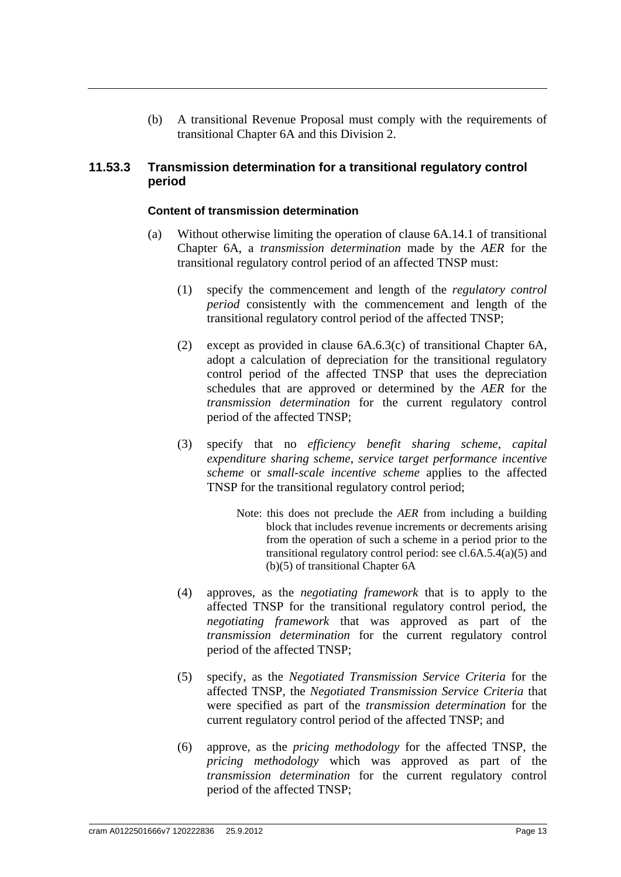(b) A transitional Revenue Proposal must comply with the requirements of transitional Chapter 6A and this Division 2.

#### **11.53.3 Transmission determination for a transitional regulatory control period**

#### **Content of transmission determination**

- (a) Without otherwise limiting the operation of clause 6A.14.1 of transitional Chapter 6A, a *transmission determination* made by the *AER* for the transitional regulatory control period of an affected TNSP must:
	- (1) specify the commencement and length of the *regulatory control period* consistently with the commencement and length of the transitional regulatory control period of the affected TNSP;
	- (2) except as provided in clause 6A.6.3(c) of transitional Chapter 6A, adopt a calculation of depreciation for the transitional regulatory control period of the affected TNSP that uses the depreciation schedules that are approved or determined by the *AER* for the *transmission determination* for the current regulatory control period of the affected TNSP;
	- (3) specify that no *efficiency benefit sharing scheme*, *capital expenditure sharing scheme*, *service target performance incentive scheme* or *small-scale incentive scheme* applies to the affected TNSP for the transitional regulatory control period;
		- Note: this does not preclude the *AER* from including a building block that includes revenue increments or decrements arising from the operation of such a scheme in a period prior to the transitional regulatory control period: see cl.6A.5.4(a)(5) and (b)(5) of transitional Chapter 6A
	- (4) approves, as the *negotiating framework* that is to apply to the affected TNSP for the transitional regulatory control period, the *negotiating framework* that was approved as part of the *transmission determination* for the current regulatory control period of the affected TNSP;
	- (5) specify, as the *Negotiated Transmission Service Criteria* for the affected TNSP, the *Negotiated Transmission Service Criteria* that were specified as part of the *transmission determination* for the current regulatory control period of the affected TNSP; and
	- (6) approve, as the *pricing methodology* for the affected TNSP, the *pricing methodology* which was approved as part of the *transmission determination* for the current regulatory control period of the affected TNSP;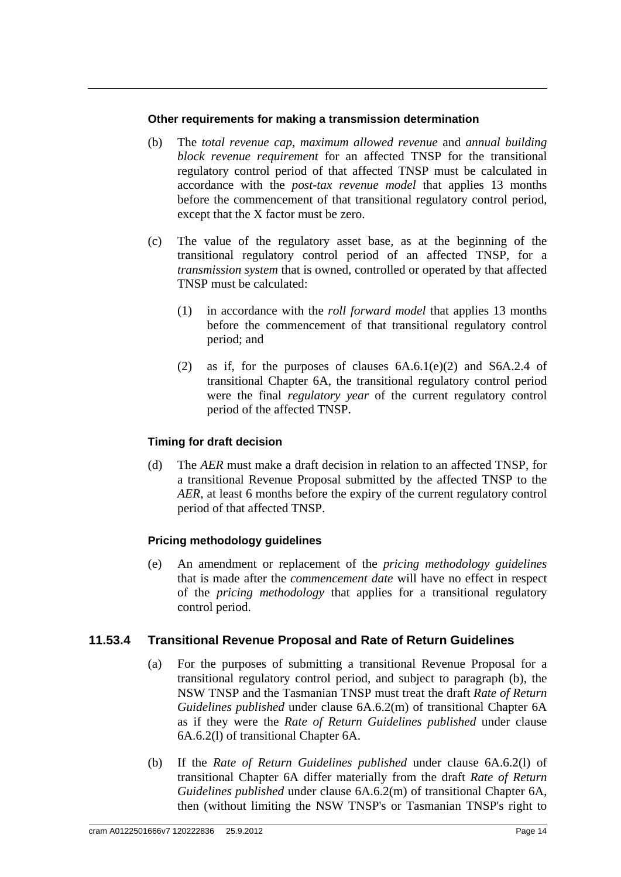#### **Other requirements for making a transmission determination**

- (b) The *total revenue cap*, *maximum allowed revenue* and *annual building block revenue requirement* for an affected TNSP for the transitional regulatory control period of that affected TNSP must be calculated in accordance with the *post-tax revenue model* that applies 13 months before the commencement of that transitional regulatory control period, except that the X factor must be zero.
- (c) The value of the regulatory asset base, as at the beginning of the transitional regulatory control period of an affected TNSP, for a *transmission system* that is owned, controlled or operated by that affected TNSP must be calculated:
	- (1) in accordance with the *roll forward model* that applies 13 months before the commencement of that transitional regulatory control period; and
	- (2) as if, for the purposes of clauses 6A.6.1(e)(2) and S6A.2.4 of transitional Chapter 6A, the transitional regulatory control period were the final *regulatory year* of the current regulatory control period of the affected TNSP.

#### **Timing for draft decision**

(d) The *AER* must make a draft decision in relation to an affected TNSP, for a transitional Revenue Proposal submitted by the affected TNSP to the *AER*, at least 6 months before the expiry of the current regulatory control period of that affected TNSP.

#### **Pricing methodology guidelines**

(e) An amendment or replacement of the *pricing methodology guidelines* that is made after the *commencement date* will have no effect in respect of the *pricing methodology* that applies for a transitional regulatory control period.

#### **11.53.4 Transitional Revenue Proposal and Rate of Return Guidelines**

- (a) For the purposes of submitting a transitional Revenue Proposal for a transitional regulatory control period, and subject to paragraph (b), the NSW TNSP and the Tasmanian TNSP must treat the draft *Rate of Return Guidelines published* under clause 6A.6.2(m) of transitional Chapter 6A as if they were the *Rate of Return Guidelines published* under clause 6A.6.2(l) of transitional Chapter 6A.
- (b) If the *Rate of Return Guidelines published* under clause 6A.6.2(l) of transitional Chapter 6A differ materially from the draft *Rate of Return Guidelines published* under clause 6A.6.2(m) of transitional Chapter 6A, then (without limiting the NSW TNSP's or Tasmanian TNSP's right to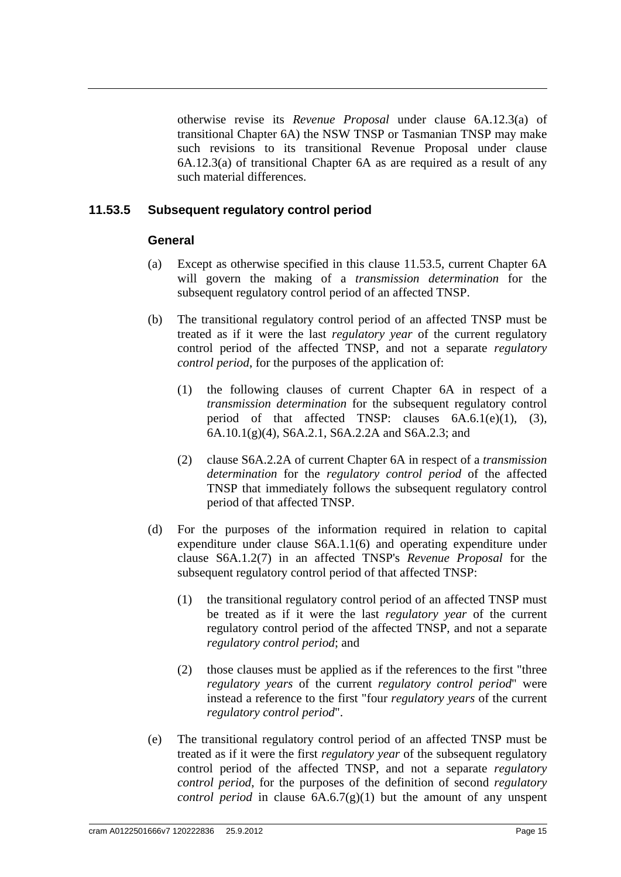otherwise revise its *Revenue Proposal* under clause 6A.12.3(a) of transitional Chapter 6A) the NSW TNSP or Tasmanian TNSP may make such revisions to its transitional Revenue Proposal under clause 6A.12.3(a) of transitional Chapter 6A as are required as a result of any such material differences.

#### **11.53.5 Subsequent regulatory control period**

#### **General**

- (a) Except as otherwise specified in this clause 11.53.5, current Chapter 6A will govern the making of a *transmission determination* for the subsequent regulatory control period of an affected TNSP.
- (b) The transitional regulatory control period of an affected TNSP must be treated as if it were the last *regulatory year* of the current regulatory control period of the affected TNSP, and not a separate *regulatory control period*, for the purposes of the application of:
	- (1) the following clauses of current Chapter 6A in respect of a *transmission determination* for the subsequent regulatory control period of that affected TNSP: clauses 6A.6.1(e)(1), (3), 6A.10.1(g)(4), S6A.2.1, S6A.2.2A and S6A.2.3; and
	- (2) clause S6A.2.2A of current Chapter 6A in respect of a *transmission determination* for the *regulatory control period* of the affected TNSP that immediately follows the subsequent regulatory control period of that affected TNSP.
- (d) For the purposes of the information required in relation to capital expenditure under clause S6A.1.1(6) and operating expenditure under clause S6A.1.2(7) in an affected TNSP's *Revenue Proposal* for the subsequent regulatory control period of that affected TNSP:
	- (1) the transitional regulatory control period of an affected TNSP must be treated as if it were the last *regulatory year* of the current regulatory control period of the affected TNSP, and not a separate *regulatory control period*; and
	- (2) those clauses must be applied as if the references to the first "three *regulatory years* of the current *regulatory control period*" were instead a reference to the first "four *regulatory years* of the current *regulatory control period*".
- (e) The transitional regulatory control period of an affected TNSP must be treated as if it were the first *regulatory year* of the subsequent regulatory control period of the affected TNSP, and not a separate *regulatory control period*, for the purposes of the definition of second *regulatory control period* in clause  $6A.6.7(g)(1)$  but the amount of any unspent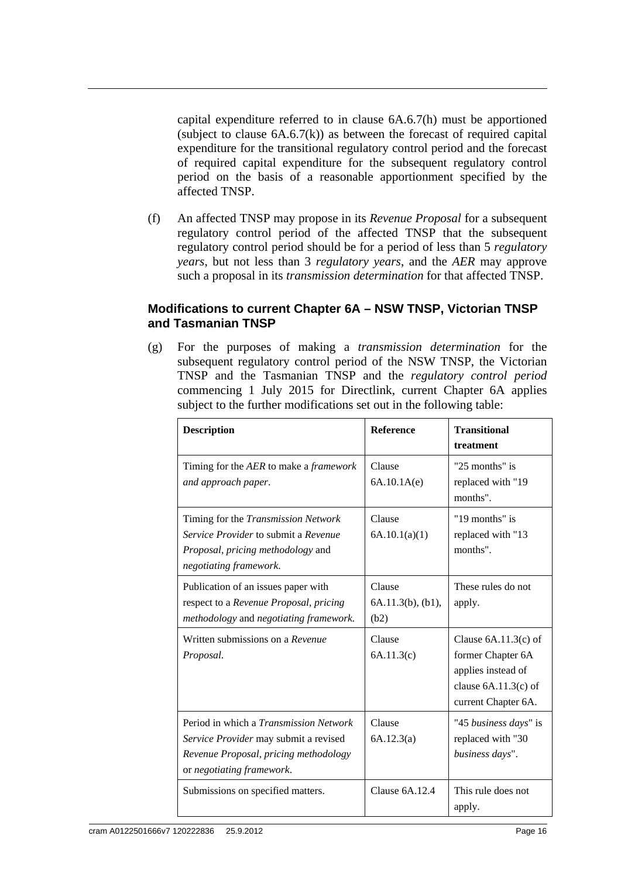capital expenditure referred to in clause 6A.6.7(h) must be apportioned (subject to clause  $6A.6.7(k)$ ) as between the forecast of required capital expenditure for the transitional regulatory control period and the forecast of required capital expenditure for the subsequent regulatory control period on the basis of a reasonable apportionment specified by the affected TNSP.

(f) An affected TNSP may propose in its *Revenue Proposal* for a subsequent regulatory control period of the affected TNSP that the subsequent regulatory control period should be for a period of less than 5 *regulatory years*, but not less than 3 *regulatory years*, and the *AER* may approve such a proposal in its *transmission determination* for that affected TNSP.

#### **Modifications to current Chapter 6A – NSW TNSP, Victorian TNSP and Tasmanian TNSP**

(g) For the purposes of making a *transmission determination* for the subsequent regulatory control period of the NSW TNSP, the Victorian TNSP and the Tasmanian TNSP and the *regulatory control period* commencing 1 July 2015 for Directlink, current Chapter 6A applies subject to the further modifications set out in the following table:

| <b>Description</b>                                                                                                                                           | <b>Reference</b>                          | <b>Transitional</b><br>treatment                                                                                   |
|--------------------------------------------------------------------------------------------------------------------------------------------------------------|-------------------------------------------|--------------------------------------------------------------------------------------------------------------------|
| Timing for the AER to make a framework<br>and approach paper.                                                                                                | Clause<br>6A.10.1A(e)                     | " $25$ months" is<br>replaced with "19<br>months".                                                                 |
| Timing for the <i>Transmission Network</i><br>Service Provider to submit a Revenue<br>Proposal, pricing methodology and<br>negotiating framework.            | Clause<br>6A.10.1(a)(1)                   | "19 months" is<br>replaced with "13<br>months".                                                                    |
| Publication of an issues paper with<br>respect to a Revenue Proposal, pricing<br>methodology and negotiating framework.                                      | Clause<br>$6A.11.3(b)$ , $(b1)$ ,<br>(b2) | These rules do not<br>apply.                                                                                       |
| Written submissions on a Revenue<br>Proposal.                                                                                                                | Clause<br>6A.11.3(c)                      | Clause $6A.11.3(c)$ of<br>former Chapter 6A<br>applies instead of<br>clause $6A.11.3(c)$ of<br>current Chapter 6A. |
| Period in which a <i>Transmission Network</i><br>Service Provider may submit a revised<br>Revenue Proposal, pricing methodology<br>or negotiating framework. | Clause<br>6A.12.3(a)                      | "45 business days" is<br>replaced with "30<br>business days".                                                      |
| Submissions on specified matters.                                                                                                                            | Clause 6A.12.4                            | This rule does not<br>apply.                                                                                       |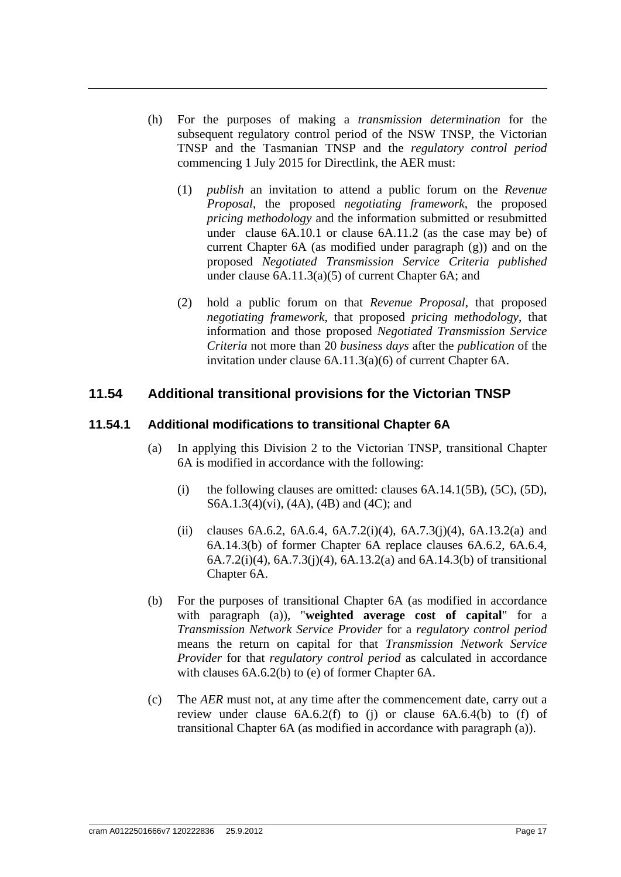- (h) For the purposes of making a *transmission determination* for the subsequent regulatory control period of the NSW TNSP, the Victorian TNSP and the Tasmanian TNSP and the *regulatory control period* commencing 1 July 2015 for Directlink, the AER must:
	- (1) *publish* an invitation to attend a public forum on the *Revenue Proposal*, the proposed *negotiating framework*, the proposed *pricing methodology* and the information submitted or resubmitted under clause 6A.10.1 or clause 6A.11.2 (as the case may be) of current Chapter 6A (as modified under paragraph (g)) and on the proposed *Negotiated Transmission Service Criteria published* under clause 6A.11.3(a)(5) of current Chapter 6A; and
	- (2) hold a public forum on that *Revenue Proposal*, that proposed *negotiating framework*, that proposed *pricing methodology*, that information and those proposed *Negotiated Transmission Service Criteria* not more than 20 *business days* after the *publication* of the invitation under clause 6A.11.3(a)(6) of current Chapter 6A.

## **11.54 Additional transitional provisions for the Victorian TNSP**

#### **11.54.1 Additional modifications to transitional Chapter 6A**

- (a) In applying this Division 2 to the Victorian TNSP, transitional Chapter 6A is modified in accordance with the following:
	- (i) the following clauses are omitted: clauses  $6A.14.1(5B)$ ,  $(5C)$ ,  $(5D)$ , S6A.1.3(4)(vi), (4A), (4B) and (4C); and
	- (ii) clauses 6A.6.2, 6A.6.4, 6A.7.2(i)(4), 6A.7.3(j)(4), 6A.13.2(a) and 6A.14.3(b) of former Chapter 6A replace clauses 6A.6.2, 6A.6.4, 6A.7.2(i)(4), 6A.7.3(j)(4), 6A.13.2(a) and 6A.14.3(b) of transitional Chapter 6A.
- (b) For the purposes of transitional Chapter 6A (as modified in accordance with paragraph (a)), "**weighted average cost of capital**" for a *Transmission Network Service Provider* for a *regulatory control period* means the return on capital for that *Transmission Network Service Provider* for that *regulatory control period* as calculated in accordance with clauses 6A.6.2(b) to (e) of former Chapter 6A.
- (c) The *AER* must not, at any time after the commencement date, carry out a review under clause 6A.6.2(f) to (j) or clause 6A.6.4(b) to (f) of transitional Chapter 6A (as modified in accordance with paragraph (a)).